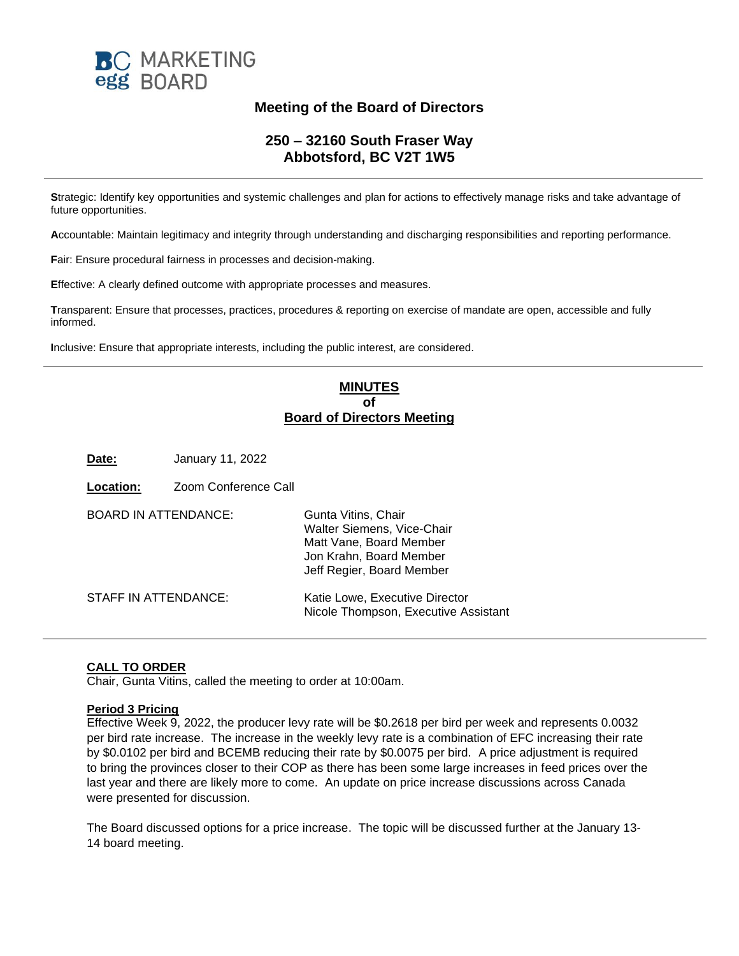

## **Meeting of the Board of Directors**

### **250 – 32160 South Fraser Way Abbotsford, BC V2T 1W5**

**S**trategic: Identify key opportunities and systemic challenges and plan for actions to effectively manage risks and take advantage of future opportunities.

**A**ccountable: Maintain legitimacy and integrity through understanding and discharging responsibilities and reporting performance.

**F**air: Ensure procedural fairness in processes and decision-making.

**E**ffective: A clearly defined outcome with appropriate processes and measures.

**T**ransparent: Ensure that processes, practices, procedures & reporting on exercise of mandate are open, accessible and fully informed.

**I**nclusive: Ensure that appropriate interests, including the public interest, are considered.

### **MINUTES of Board of Directors Meeting**

**Date:** January 11, 2022

| <b>Location:</b>            | Zoom Conference Call |                                                                                                                                      |
|-----------------------------|----------------------|--------------------------------------------------------------------------------------------------------------------------------------|
| <b>BOARD IN ATTENDANCE:</b> |                      | Gunta Vitins, Chair<br>Walter Siemens, Vice-Chair<br>Matt Vane, Board Member<br>Jon Krahn, Board Member<br>Jeff Regier, Board Member |
| STAFF IN ATTENDANCE:        |                      | Katie Lowe, Executive Director<br>Nicole Thompson, Executive Assistant                                                               |

#### **CALL TO ORDER**

Chair, Gunta Vitins, called the meeting to order at 10:00am.

#### **Period 3 Pricing**

Effective Week 9, 2022, the producer levy rate will be \$0.2618 per bird per week and represents 0.0032 per bird rate increase. The increase in the weekly levy rate is a combination of EFC increasing their rate by \$0.0102 per bird and BCEMB reducing their rate by \$0.0075 per bird. A price adjustment is required to bring the provinces closer to their COP as there has been some large increases in feed prices over the last year and there are likely more to come. An update on price increase discussions across Canada were presented for discussion.

The Board discussed options for a price increase. The topic will be discussed further at the January 13- 14 board meeting.